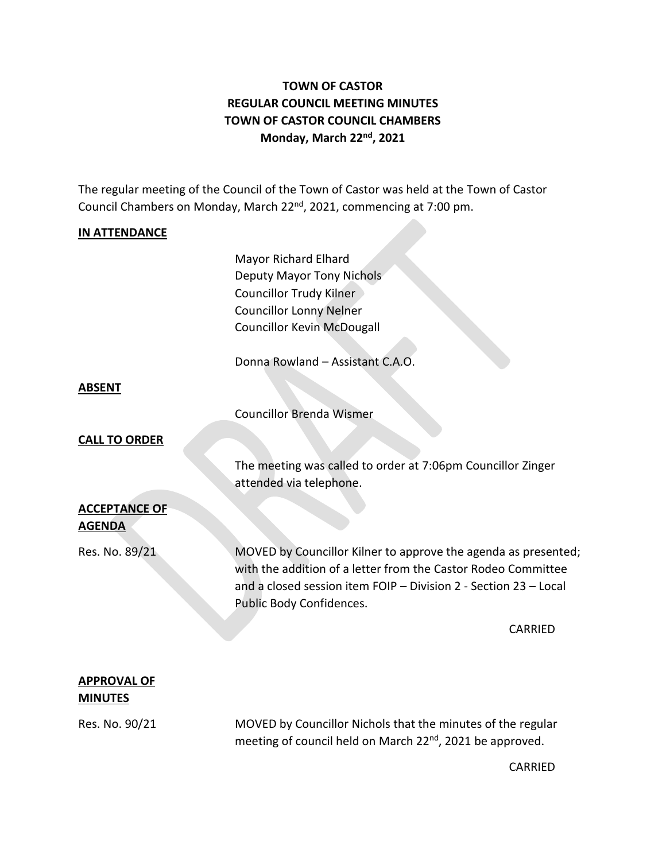# **TOWN OF CASTOR REGULAR COUNCIL MEETING MINUTES TOWN OF CASTOR COUNCIL CHAMBERS Monday, March 22nd , 2021**

The regular meeting of the Council of the Town of Castor was held at the Town of Castor Council Chambers on Monday, March 22<sup>nd</sup>, 2021, commencing at 7:00 pm.

### **IN ATTENDANCE**

Mayor Richard Elhard Deputy Mayor Tony Nichols Councillor Trudy Kilner Councillor Lonny Nelner Councillor Kevin McDougall

Donna Rowland – Assistant C.A.O.

#### **ABSENT**

Councillor Brenda Wismer

#### **CALL TO ORDER**

The meeting was called to order at 7:06pm Councillor Zinger attended via telephone.

## **ACCEPTANCE OF AGENDA**

Res. No. 89/21 MOVED by Councillor Kilner to approve the agenda as presented; with the addition of a letter from the Castor Rodeo Committee and a closed session item FOIP – Division 2 - Section 23 – Local Public Body Confidences.

CARRIED

### **APPROVAL OF MINUTES**

Res. No. 90/21 MOVED by Councillor Nichols that the minutes of the regular meeting of council held on March 22<sup>nd</sup>, 2021 be approved.

CARRIED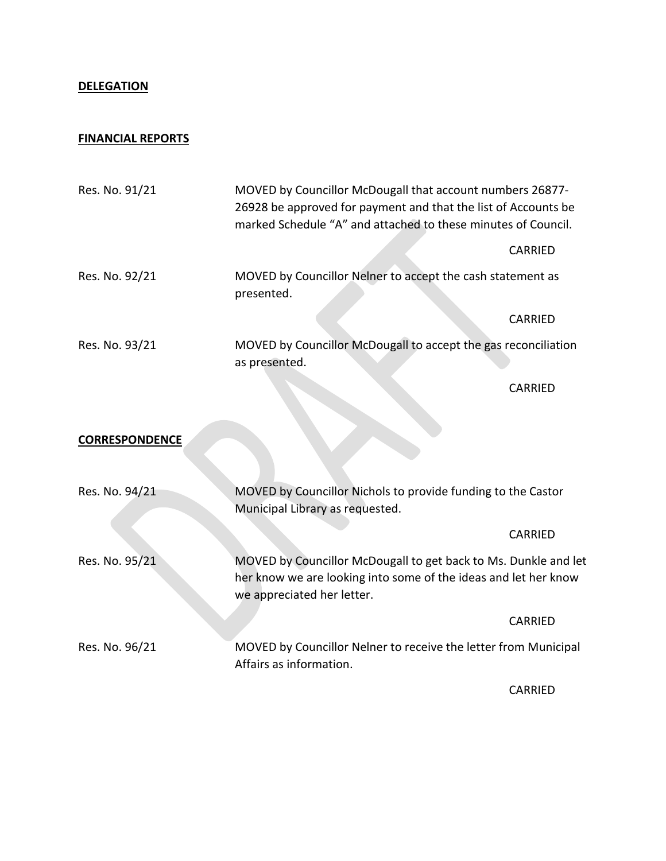## **DELEGATION**

## **FINANCIAL REPORTS**

| Res. No. 91/21        | MOVED by Councillor McDougall that account numbers 26877-<br>26928 be approved for payment and that the list of Accounts be<br>marked Schedule "A" and attached to these minutes of Council. |         |
|-----------------------|----------------------------------------------------------------------------------------------------------------------------------------------------------------------------------------------|---------|
|                       |                                                                                                                                                                                              | CARRIED |
| Res. No. 92/21        | MOVED by Councillor Nelner to accept the cash statement as<br>presented.                                                                                                                     |         |
|                       |                                                                                                                                                                                              | CARRIED |
| Res. No. 93/21        | MOVED by Councillor McDougall to accept the gas reconciliation<br>as presented.                                                                                                              |         |
|                       |                                                                                                                                                                                              | CARRIED |
|                       |                                                                                                                                                                                              |         |
| <b>CORRESPONDENCE</b> |                                                                                                                                                                                              |         |
| Res. No. 94/21        | MOVED by Councillor Nichols to provide funding to the Castor<br>Municipal Library as requested.                                                                                              |         |
|                       |                                                                                                                                                                                              | CARRIED |
| Res. No. 95/21        | MOVED by Councillor McDougall to get back to Ms. Dunkle and let<br>her know we are looking into some of the ideas and let her know<br>we appreciated her letter.                             |         |
|                       |                                                                                                                                                                                              | CARRIED |
| Res. No. 96/21        | MOVED by Councillor Nelner to receive the letter from Municipal<br>Affairs as information.                                                                                                   |         |

CARRIED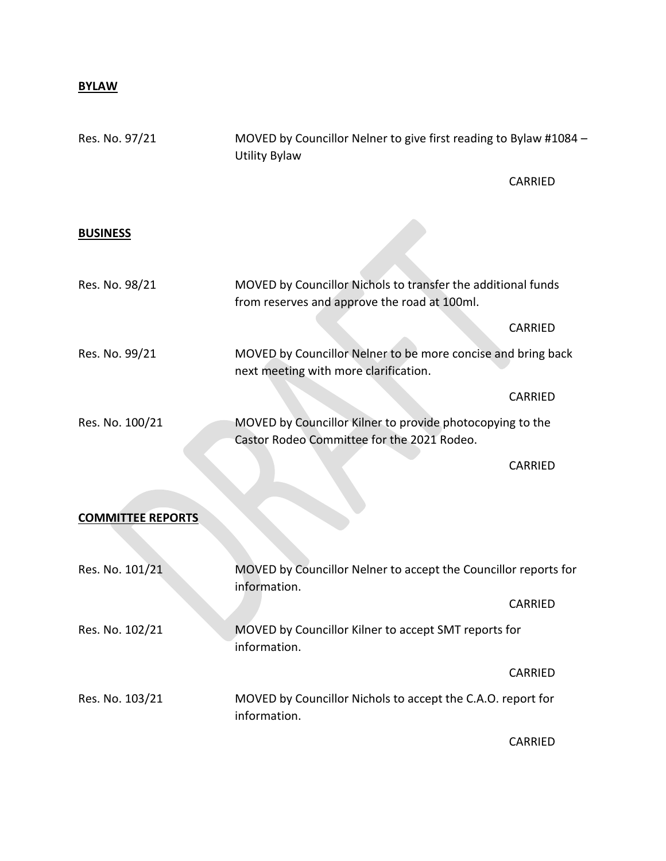# **BYLAW**

| Res. No. 97/21           | MOVED by Councillor Nelner to give first reading to Bylaw #1084 -<br><b>Utility Bylaw</b>                    |         |
|--------------------------|--------------------------------------------------------------------------------------------------------------|---------|
|                          |                                                                                                              | CARRIED |
| <b>BUSINESS</b>          |                                                                                                              |         |
| Res. No. 98/21           | MOVED by Councillor Nichols to transfer the additional funds<br>from reserves and approve the road at 100ml. |         |
|                          |                                                                                                              | CARRIED |
| Res. No. 99/21           | MOVED by Councillor Nelner to be more concise and bring back<br>next meeting with more clarification.        |         |
|                          |                                                                                                              | CARRIED |
| Res. No. 100/21          | MOVED by Councillor Kilner to provide photocopying to the<br>Castor Rodeo Committee for the 2021 Rodeo.      |         |
|                          |                                                                                                              | CARRIED |
| <b>COMMITTEE REPORTS</b> |                                                                                                              |         |
| Res. No. 101/21          | MOVED by Councillor Nelner to accept the Councillor reports for<br>information.                              |         |
|                          |                                                                                                              | CARRIED |
| Res. No. 102/21          | MOVED by Councillor Kilner to accept SMT reports for<br>information.                                         |         |
|                          |                                                                                                              | CARRIED |
| Res. No. 103/21          | MOVED by Councillor Nichols to accept the C.A.O. report for<br>information.                                  |         |
|                          |                                                                                                              | CARRIED |